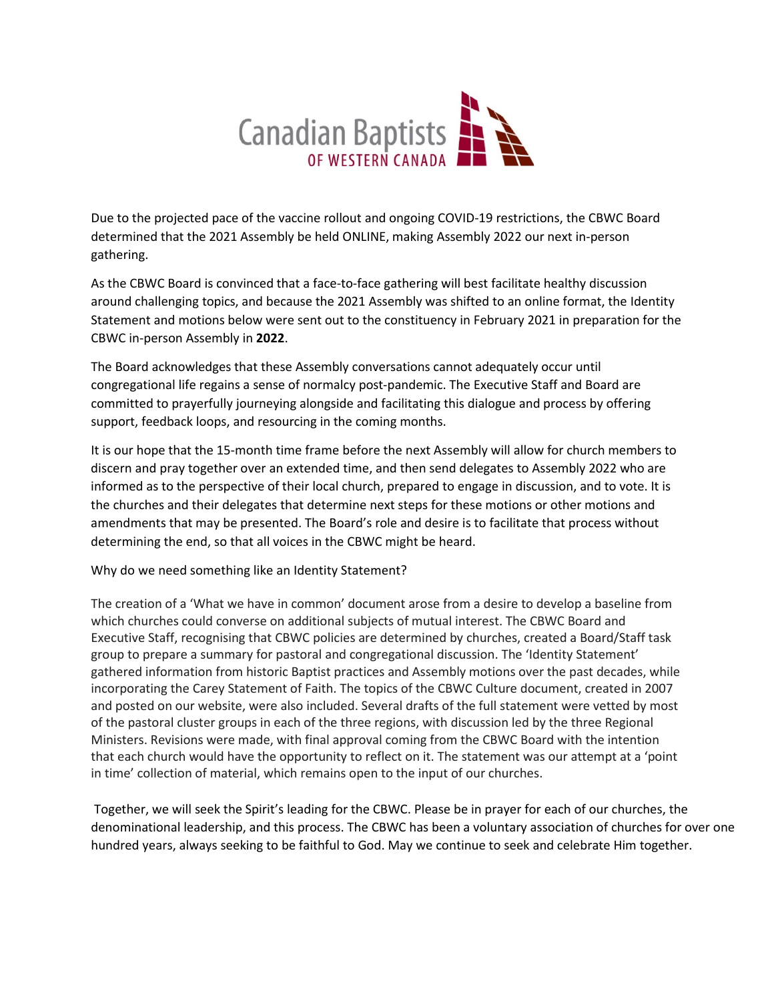

Due to the projected pace of the vaccine rollout and ongoing COVID-19 restrictions, the CBWC Board determined that the 2021 Assembly be held ONLINE, making Assembly 2022 our next in-person gathering.

As the CBWC Board is convinced that a face-to-face gathering will best facilitate healthy discussion around challenging topics, and because the 2021 Assembly was shifted to an online format, the Identity Statement and motions below were sent out to the constituency in February 2021 in preparation for the CBWC in-person Assembly in **2022**.

The Board acknowledges that these Assembly conversations cannot adequately occur until congregational life regains a sense of normalcy post-pandemic. The Executive Staff and Board are committed to prayerfully journeying alongside and facilitating this dialogue and process by offering support, feedback loops, and resourcing in the coming months.

It is our hope that the 15-month time frame before the next Assembly will allow for church members to discern and pray together over an extended time, and then send delegates to Assembly 2022 who are informed as to the perspective of their local church, prepared to engage in discussion, and to vote. It is the churches and their delegates that determine next steps for these motions or other motions and amendments that may be presented. The Board's role and desire is to facilitate that process without determining the end, so that all voices in the CBWC might be heard.

Why do we need something like an Identity Statement?

The creation of a 'What we have in common' document arose from a desire to develop a baseline from which churches could converse on additional subjects of mutual interest. The CBWC Board and Executive Staff, recognising that CBWC policies are determined by churches, created a Board/Staff task group to prepare a summary for pastoral and congregational discussion. The 'Identity Statement' gathered information from historic Baptist practices and Assembly motions over the past decades, while incorporating the Carey Statement of Faith. The topics of the CBWC Culture document, created in 2007 and posted on our website, were also included. Several drafts of the full statement were vetted by most of the pastoral cluster groups in each of the three regions, with discussion led by the three Regional Ministers. Revisions were made, with final approval coming from the CBWC Board with the intention that each church would have the opportunity to reflect on it. The statement was our attempt at a 'point in time' collection of material, which remains open to the input of our churches.

Together, we will seek the Spirit's leading for the CBWC. Please be in prayer for each of our churches, the denominational leadership, and this process. The CBWC has been a voluntary association of churches for over one hundred years, always seeking to be faithful to God. May we continue to seek and celebrate Him together.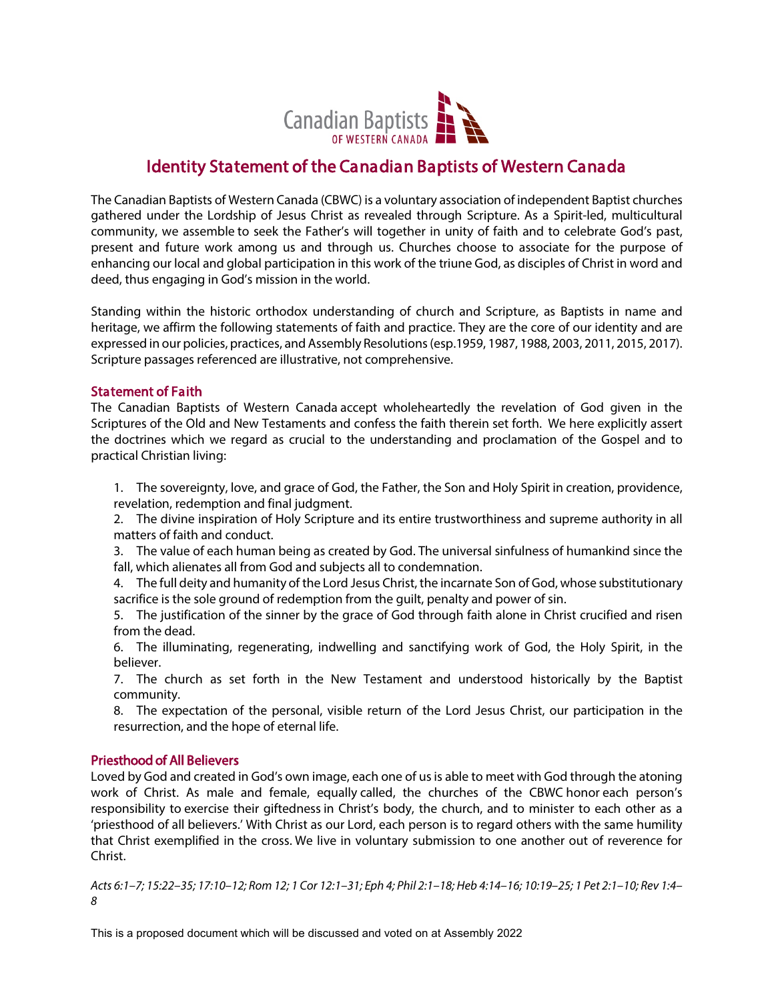

# Identity Statement of the Canadian Baptists of Western Canada

The Canadian Baptists of Western Canada (CBWC) is a voluntary association of independent Baptist churches gathered under the Lordship of Jesus Christ as revealed through Scripture. As a Spirit-led, multicultural community, we assemble to seek the Father's will together in unity of faith and to celebrate God's past, present and future work among us and through us. Churches choose to associate for the purpose of enhancing our local and global participation in this work of the triune God, as disciples of Christ in word and deed, thus engaging in God's mission in the world.

Standing within the historic orthodox understanding of church and Scripture, as Baptists in name and heritage, we affirm the following statements of faith and practice. They are the core of our identity and are expressed in our policies, practices, and Assembly Resolutions (esp.1959, 1987, 1988, 2003, 2011, 2015, 2017). Scripture passages referenced are illustrative, not comprehensive.

## Statement of Faith

The Canadian Baptists of Western Canada accept wholeheartedly the revelation of God given in the Scriptures of the Old and New Testaments and confess the faith therein set forth. We here explicitly assert the doctrines which we regard as crucial to the understanding and proclamation of the Gospel and to practical Christian living:

1. The sovereignty, love, and grace of God, the Father, the Son and Holy Spirit in creation, providence, revelation, redemption and final judgment.

2. The divine inspiration of Holy Scripture and its entire trustworthiness and supreme authority in all matters of faith and conduct.

3. The value of each human being as created by God. The universal sinfulness of humankind since the fall, which alienates all from God and subjects all to condemnation.

4. The full deity and humanity of the Lord Jesus Christ, the incarnate Son of God, whose substitutionary sacrifice is the sole ground of redemption from the guilt, penalty and power of sin.

5. The justification of the sinner by the grace of God through faith alone in Christ crucified and risen from the dead.

6. The illuminating, regenerating, indwelling and sanctifying work of God, the Holy Spirit, in the believer.

7. The church as set forth in the New Testament and understood historically by the Baptist community.

8. The expectation of the personal, visible return of the Lord Jesus Christ, our participation in the resurrection, and the hope of eternal life.

## Priesthood of All Believers

Loved by God and created in God's own image, each one of usis able to meet with God through the atoning work of Christ. As male and female, equally called, the churches of the CBWC honor each person's responsibility to exercise their giftedness in Christ's body, the church, and to minister to each other as a 'priesthood of all believers.' With Christ as our Lord, each person is to regard others with the same humility that Christ exemplified in the cross. We live in voluntary submission to one another out of reverence for Christ.

*Acts 6:1–7; 15:22–35; 17:10–12; Rom 12; 1 Cor 12:1–31; Eph 4; Phil 2:1–18; Heb 4:14–16; 10:19–25; 1 Pet 2:1–10; Rev 1:4– 8* 

This is a proposed document which will be discussed and voted on at Assembly 2022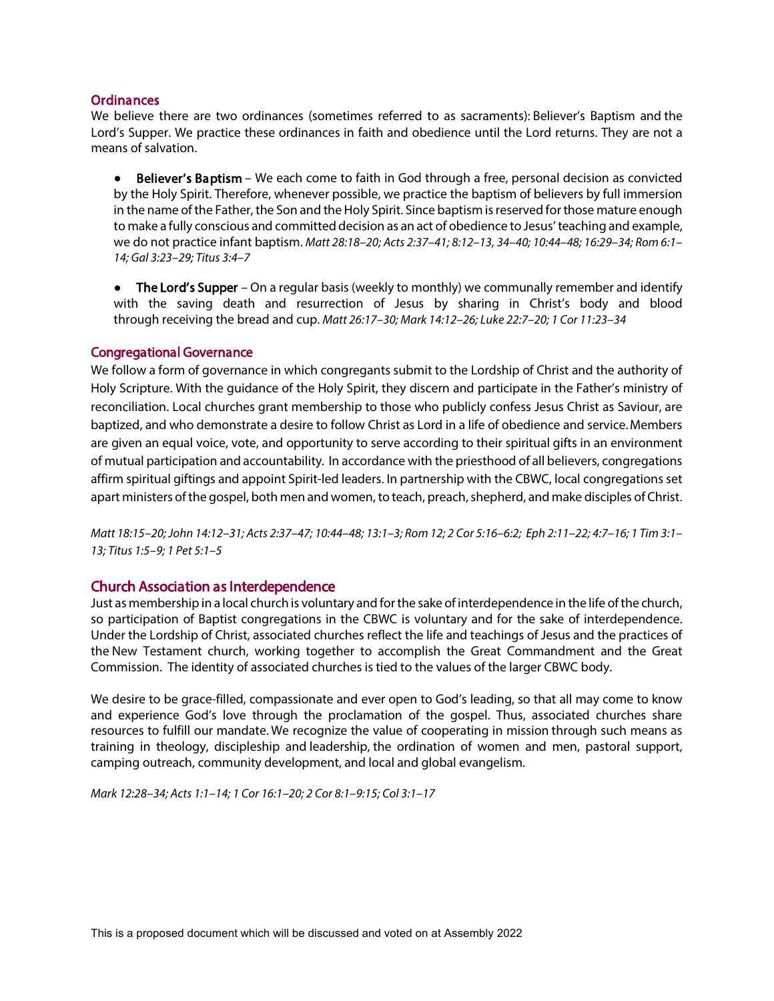#### **Ordinances**

We believe there are two ordinances (sometimes referred to as sacraments): Believer's Baptism and the Lord's Supper. We practice these ordinances in faith and obedience until the Lord returns. They are not a means of salvation.

● Believer's Baptism – We each come to faith in God through a free, personal decision as convicted by the Holy Spirit. Therefore, whenever possible, we practice the baptism of believers by full immersion in the name of the Father, the Son and the Holy Spirit. Since baptism is reserved for those mature enough to make a fully conscious and committed decision as an act of obedience to Jesus' teaching and example, we do not practice infant baptism. *Matt 28:18–20; Acts 2:37–41; 8:12–13, 34–40; 10:44–48; 16:29–34; Rom 6:1– 14; Gal 3:23–29; Titus 3:4–7*

• The Lord's Supper – On a regular basis (weekly to monthly) we communally remember and identify with the saving death and resurrection of Jesus by sharing in Christ's body and blood through receiving the bread and cup. *Matt 26:17–30; Mark 14:12–26; Luke 22:7–20; 1 Cor 11:23–34*

#### Congregational Governance

We follow a form of governance in which congregants submit to the Lordship of Christ and the authority of Holy Scripture. With the guidance of the Holy Spirit, they discern and participate in the Father's ministry of reconciliation. Local churches grant membership to those who publicly confess Jesus Christ as Saviour, are baptized, and who demonstrate a desire to follow Christ as Lord in a life of obedience and service.Members are given an equal voice, vote, and opportunity to serve according to their spiritual gifts in an environment of mutual participation and accountability*.* In accordance with the priesthood of all believers, congregations affirm spiritual giftings and appoint Spirit-led leaders. In partnership with the CBWC, local congregations set apart ministers of the gospel, both men and women, to teach, preach, shepherd, and make disciples of Christ.

*Matt 18:15–20; John 14:12–31; Acts 2:37–47; 10:44–48; 13:1–3; Rom 12; 2 Cor 5:16–6:2; Eph 2:11–22; 4:7–16; 1 Tim 3:1– 13; Titus 1:5–9; 1 Pet 5:1–5*

## Church Association as Interdependence

Just as membership in a local church is voluntary and for the sake of interdependence in the life of the church, so participation of Baptist congregations in the CBWC is voluntary and for the sake of interdependence. Under the Lordship of Christ, associated churches reflect the life and teachings of Jesus and the practices of the New Testament church, working together to accomplish the Great Commandment and the Great Commission. The identity of associated churches is tied to the values of the larger CBWC body.

We desire to be grace-filled, compassionate and ever open to God's leading, so that all may come to know and experience God's love through the proclamation of the gospel. Thus, associated churches share resources to fulfill our mandate. We recognize the value of cooperating in mission through such means as training in theology, discipleship and leadership, the ordination of women and men, pastoral support, camping outreach, community development, and local and global evangelism.

*Mark 12:28–34; Acts 1:1–14; 1 Cor 16:1–20; 2 Cor 8:1–9:15; Col 3:1–17*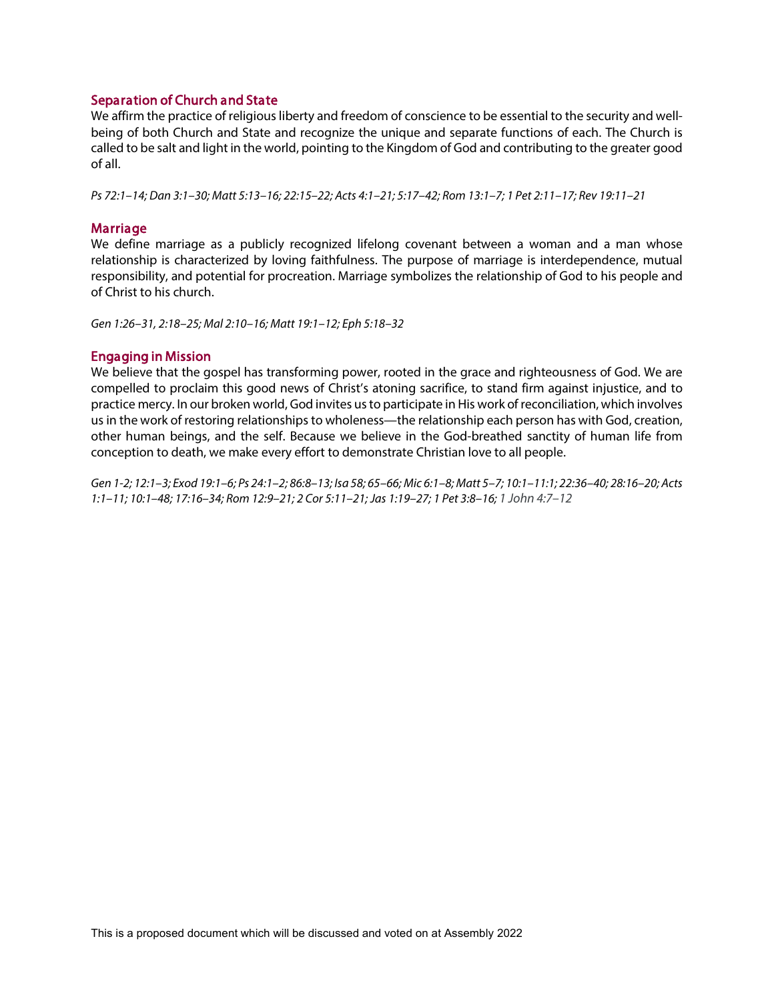#### Separation of Church and State

We affirm the practice of religious liberty and freedom of conscience to be essential to the security and wellbeing of both Church and State and recognize the unique and separate functions of each. The Church is called to be salt and light in the world, pointing to the Kingdom of God and contributing to the greater good of all.

*Ps 72:1–14; Dan 3:1–30; Matt 5:13–16; 22:15–22; Acts 4:1–21; 5:17–42; Rom 13:1–7; 1 Pet 2:11–17; Rev 19:11–21*

#### Marriage

We define marriage as a publicly recognized lifelong covenant between a woman and a man whose relationship is characterized by loving faithfulness. The purpose of marriage is interdependence, mutual responsibility, and potential for procreation. Marriage symbolizes the relationship of God to his people and of Christ to his church.

*Gen 1:26–31, 2:18–25; Mal 2:10–16; Matt 19:1–12; Eph 5:18–32*

#### Engaging in Mission

We believe that the gospel has transforming power, rooted in the grace and righteousness of God. We are compelled to proclaim this good news of Christ's atoning sacrifice, to stand firm against injustice, and to practice mercy. In our broken world, God invites us to participate in His work of reconciliation, which involves us in the work of restoring relationships to wholeness—the relationship each person has with God, creation, other human beings, and the self. Because we believe in the God-breathed sanctity of human life from conception to death, we make every effort to demonstrate Christian love to all people.

*Gen 1-2; 12:1–3; Exod 19:1–6; Ps 24:1–2; 86:8–13; Isa 58; 65–66; Mic 6:1–8; Matt 5–7; 10:1–11:1; 22:36–40; 28:16–20; Acts 1:1–11; 10:1–48; 17:16–34; Rom 12:9–21; 2 Cor 5:11–21; Jas 1:19–27; 1 Pet 3:8–16; 1 John 4:7–12*